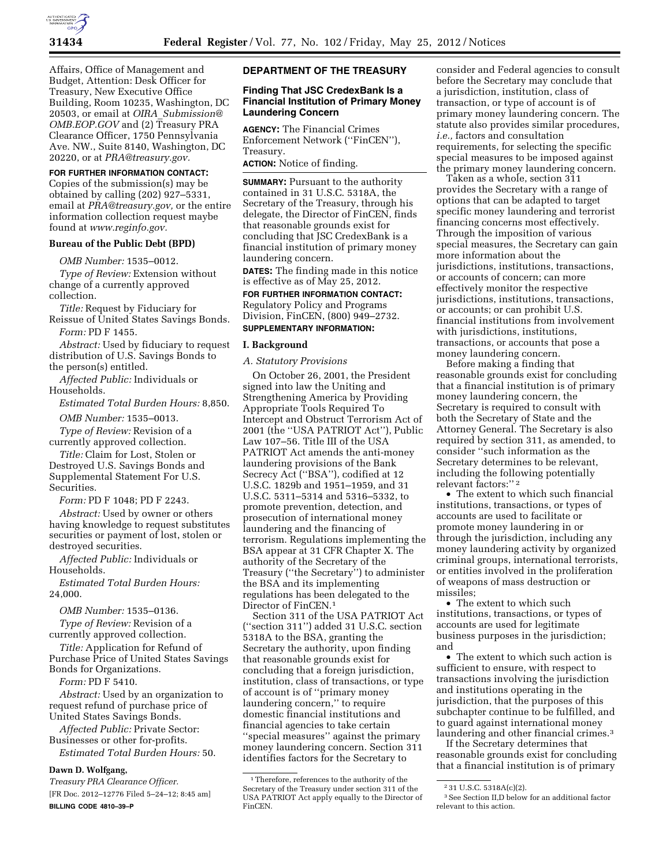

Affairs, Office of Management and Budget, Attention: Desk Officer for Treasury, New Executive Office Building, Room 10235, Washington, DC 20503, or email at *OIRA*\_*[Submission@](mailto:OIRA_Submission@OMB.EOP.GOV) [OMB.EOP.GOV](mailto:OIRA_Submission@OMB.EOP.GOV)* and (2) Treasury PRA Clearance Officer, 1750 Pennsylvania Ave. NW., Suite 8140, Washington, DC 20220, or at *[PRA@treasury.gov.](mailto:PRA@treasury.gov)* 

## **FOR FURTHER INFORMATION CONTACT:**

Copies of the submission(s) may be obtained by calling (202) 927–5331, email at *[PRA@treasury.gov,](mailto:PRA@treasury.gov)* or the entire information collection request maybe found at *[www.reginfo.gov.](http://www.reginfo.gov)* 

# **Bureau of the Public Debt (BPD)**

*OMB Number:* 1535–0012.

*Type of Review:* Extension without change of a currently approved collection.

*Title:* Request by Fiduciary for Reissue of United States Savings Bonds.

*Form:* PD F 1455.

*Abstract:* Used by fiduciary to request distribution of U.S. Savings Bonds to the person(s) entitled.

*Affected Public:* Individuals or Households.

*Estimated Total Burden Hours:* 8,850.

*OMB Number:* 1535–0013.

*Type of Review:* Revision of a currently approved collection.

*Title:* Claim for Lost, Stolen or Destroyed U.S. Savings Bonds and Supplemental Statement For U.S. Securities.

*Form:* PD F 1048; PD F 2243.

*Abstract:* Used by owner or others having knowledge to request substitutes securities or payment of lost, stolen or destroyed securities.

*Affected Public:* Individuals or Households.

*Estimated Total Burden Hours:*  24,000.

*OMB Number:* 1535–0136.

*Type of Review:* Revision of a currently approved collection.

*Title:* Application for Refund of Purchase Price of United States Savings Bonds for Organizations.

*Form:* PD F 5410.

*Abstract:* Used by an organization to request refund of purchase price of United States Savings Bonds.

*Affected Public:* Private Sector: Businesses or other for-profits.

*Estimated Total Burden Hours:* 50.

# **Dawn D. Wolfgang,**

*Treasury PRA Clearance Officer.*  [FR Doc. 2012–12776 Filed 5–24–12; 8:45 am] **BILLING CODE 4810–39–P** 

## **DEPARTMENT OF THE TREASURY**

## **Finding That JSC CredexBank Is a Financial Institution of Primary Money Laundering Concern**

**AGENCY:** The Financial Crimes Enforcement Network (''FinCEN''), Treasury.

**ACTION:** Notice of finding.

**SUMMARY:** Pursuant to the authority contained in 31 U.S.C. 5318A, the Secretary of the Treasury, through his delegate, the Director of FinCEN, finds that reasonable grounds exist for concluding that JSC CredexBank is a financial institution of primary money laundering concern.

**DATES:** The finding made in this notice is effective as of May 25, 2012.

# **FOR FURTHER INFORMATION CONTACT:**

Regulatory Policy and Programs Division, FinCEN, (800) 949–2732. **SUPPLEMENTARY INFORMATION:** 

#### **I. Background**

*A. Statutory Provisions* 

On October 26, 2001, the President signed into law the Uniting and Strengthening America by Providing Appropriate Tools Required To Intercept and Obstruct Terrorism Act of 2001 (the ''USA PATRIOT Act''), Public Law 107–56. Title III of the USA PATRIOT Act amends the anti-money laundering provisions of the Bank Secrecy Act (''BSA''), codified at 12 U.S.C. 1829b and 1951–1959, and 31 U.S.C. 5311–5314 and 5316–5332, to promote prevention, detection, and prosecution of international money laundering and the financing of terrorism. Regulations implementing the BSA appear at 31 CFR Chapter X. The authority of the Secretary of the Treasury (''the Secretary'') to administer the BSA and its implementing regulations has been delegated to the Director of FinCEN.1

Section 311 of the USA PATRIOT Act (''section 311'') added 31 U.S.C. section 5318A to the BSA, granting the Secretary the authority, upon finding that reasonable grounds exist for concluding that a foreign jurisdiction, institution, class of transactions, or type of account is of ''primary money laundering concern,'' to require domestic financial institutions and financial agencies to take certain ''special measures'' against the primary money laundering concern. Section 311 identifies factors for the Secretary to

consider and Federal agencies to consult before the Secretary may conclude that a jurisdiction, institution, class of transaction, or type of account is of primary money laundering concern. The statute also provides similar procedures, *i.e.,* factors and consultation requirements, for selecting the specific special measures to be imposed against the primary money laundering concern.

Taken as a whole, section 311 provides the Secretary with a range of options that can be adapted to target specific money laundering and terrorist financing concerns most effectively. Through the imposition of various special measures, the Secretary can gain more information about the jurisdictions, institutions, transactions, or accounts of concern; can more effectively monitor the respective jurisdictions, institutions, transactions, or accounts; or can prohibit U.S. financial institutions from involvement with jurisdictions, institutions, transactions, or accounts that pose a money laundering concern.

Before making a finding that reasonable grounds exist for concluding that a financial institution is of primary money laundering concern, the Secretary is required to consult with both the Secretary of State and the Attorney General. The Secretary is also required by section 311, as amended, to consider ''such information as the Secretary determines to be relevant, including the following potentially relevant factors:'' 2

• The extent to which such financial institutions, transactions, or types of accounts are used to facilitate or promote money laundering in or through the jurisdiction, including any money laundering activity by organized criminal groups, international terrorists, or entities involved in the proliferation of weapons of mass destruction or missiles;

• The extent to which such institutions, transactions, or types of accounts are used for legitimate business purposes in the jurisdiction; and

• The extent to which such action is sufficient to ensure, with respect to transactions involving the jurisdiction and institutions operating in the jurisdiction, that the purposes of this subchapter continue to be fulfilled, and to guard against international money laundering and other financial crimes.3

If the Secretary determines that reasonable grounds exist for concluding that a financial institution is of primary

<sup>1</sup>Therefore, references to the authority of the Secretary of the Treasury under section 311 of the USA PATRIOT Act apply equally to the Director of FinCEN.

<sup>2</sup> 31 U.S.C. 5318A(c)(2).

<sup>3</sup>See Section II,D below for an additional factor relevant to this action.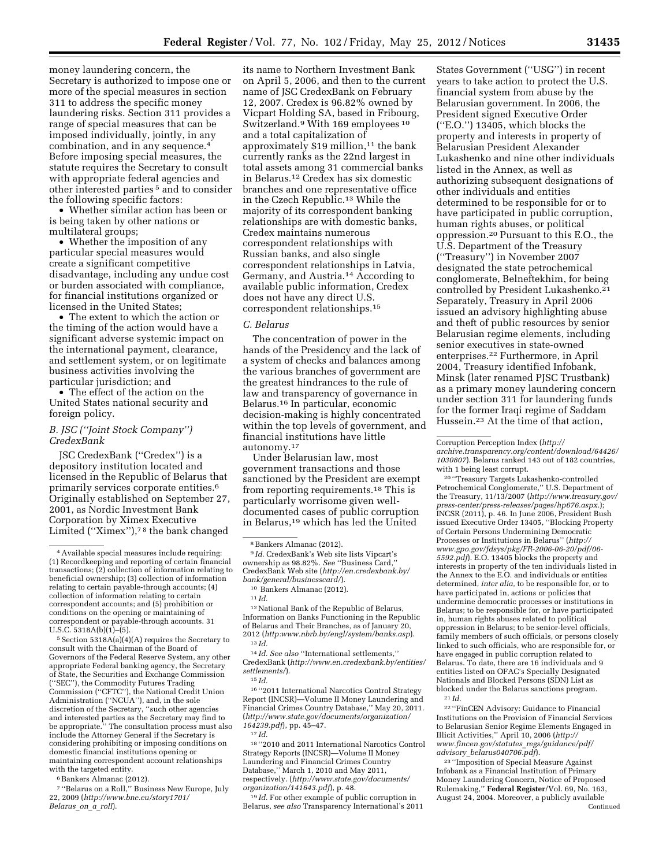money laundering concern, the Secretary is authorized to impose one or more of the special measures in section 311 to address the specific money laundering risks. Section 311 provides a range of special measures that can be imposed individually, jointly, in any combination, and in any sequence.4 Before imposing special measures, the statute requires the Secretary to consult with appropriate federal agencies and other interested parties 5 and to consider the following specific factors:

• Whether similar action has been or is being taken by other nations or multilateral groups;

• Whether the imposition of any particular special measures would create a significant competitive disadvantage, including any undue cost or burden associated with compliance, for financial institutions organized or licensed in the United States;

• The extent to which the action or the timing of the action would have a significant adverse systemic impact on the international payment, clearance, and settlement system, or on legitimate business activities involving the particular jurisdiction; and

• The effect of the action on the United States national security and foreign policy.

## *B. JSC (''Joint Stock Company'') CredexBank*

JSC CredexBank (''Credex'') is a depository institution located and licensed in the Republic of Belarus that primarily services corporate entities.6 Originally established on September 27, 2001, as Nordic Investment Bank Corporation by Ximex Executive Limited (''Ximex''),7 8 the bank changed

5Section 5318A(a)(4)(A) requires the Secretary to consult with the Chairman of the Board of Governors of the Federal Reserve System, any other appropriate Federal banking agency, the Secretary of State, the Securities and Exchange Commission (''SEC''), the Commodity Futures Trading Commission (''CFTC''), the National Credit Union Administration (''NCUA''), and, in the sole discretion of the Secretary, ''such other agencies and interested parties as the Secretary may find to be appropriate.'' The consultation process must also include the Attorney General if the Secretary is considering prohibiting or imposing conditions on domestic financial institutions opening or maintaining correspondent account relationships with the targeted entity.

<sup>6</sup> Bankers Almanac (2012).

7 ''Belarus on a Roll,'' Business New Europe, July 22, 2009 (*[http://www.bne.eu/story1701/](http://www.bne.eu/story1701/Belarus_on_a_roll) [Belarus](http://www.bne.eu/story1701/Belarus_on_a_roll)*\_*on*\_*a*\_*roll*).

its name to Northern Investment Bank on April 5, 2006, and then to the current name of JSC CredexBank on February 12, 2007. Credex is 96.82% owned by Vicpart Holding SA, based in Fribourg, Switzerland.9 With 169 employees 10 and a total capitalization of approximately  $$19$  million,<sup>11</sup> the bank currently ranks as the 22nd largest in total assets among 31 commercial banks in Belarus.12 Credex has six domestic branches and one representative office in the Czech Republic.13 While the majority of its correspondent banking relationships are with domestic banks, Credex maintains numerous correspondent relationships with Russian banks, and also single correspondent relationships in Latvia, Germany, and Austria.14 According to available public information, Credex does not have any direct U.S. correspondent relationships.15

## *C. Belarus*

The concentration of power in the hands of the Presidency and the lack of a system of checks and balances among the various branches of government are the greatest hindrances to the rule of law and transparency of governance in Belarus.16 In particular, economic decision-making is highly concentrated within the top levels of government, and financial institutions have little autonomy.17

Under Belarusian law, most government transactions and those sanctioned by the President are exempt from reporting requirements.18 This is particularly worrisome given welldocumented cases of public corruption in Belarus,19 which has led the United

9 *Id.* CredexBank's Web site lists Vipcart's ownership as 98.82%. *See* ''Business Card,'' CredexBank Web site (*[http://en.credexbank.by/](http://en.credexbank.by/bank/general/businesscard/)* 

<sup>10</sup> Bankers Almanac (2012[\).](http://en.credexbank.by/bank/general/businesscard/) <sup>11</sup> *Id.* 

12National Bank of the Republic of Belarus, Information on Banks Functioning in the Republic of Belarus and Their Branches, as of January 20, 2012 (*<http:www.nbrb.by/engl/system/banks.asp>*). 13 *Id.* 

14 *Id. See also* ''International settlements,'' CredexBank (*[http://www.en.credexbank.by/entities/](http://www.en.credexbank.by/entities/settlements/) [settlements/](http://www.en.credexbank.by/entities/settlements/)*). 15 *Id.* 

16 ''2011 International Narcotics Control Strategy Report (INCSR)—Volume II Money Laundering and Financial Crimes Country Database,'' May 20, 2011. (*[http://www.state.gov/documents/organization/](http://www.state.gov/documents/organization/164239.pdf) [164239.pdf](http://www.state.gov/documents/organization/164239.pdf)*), pp. 45–47.

18 ''2010 and 2011 International Narcotics Control Strategy Reports (INCSR)—Volume II Money Laundering and Financial Crimes Country Database,'' March 1, 2010 and May 2011, respectively. (*[http://www.state.gov/documents/](http://www.state.gov/documents/organization/141643.pdf)  [organization/141643.pdf](http://www.state.gov/documents/organization/141643.pdf)*), p. 48.

19 *Id.* For other example of public corruption in Belarus, *see also* Transparency International's 2011

States Government (''USG'') in recent years to take action to protect the U.S. financial system from abuse by the Belarusian government. In 2006, the President signed Executive Order (''E.O.'') 13405, which blocks the property and interests in property of Belarusian President Alexander Lukashenko and nine other individuals listed in the Annex, as well as authorizing subsequent designations of other individuals and entities determined to be responsible for or to have participated in public corruption, human rights abuses, or political oppression.20 Pursuant to this E.O., the U.S. Department of the Treasury (''Treasury'') in November 2007 designated the state petrochemical conglomerate, Belneftekhim, for being controlled by President Lukashenko.21 Separately, Treasury in April 2006 issued an advisory highlighting abuse and theft of public resources by senior Belarusian regime elements, including senior executives in state-owned enterprises.22 Furthermore, in April 2004, Treasury identified Infobank, Minsk (later renamed PJSC Trustbank) as a primary money laundering concern under section 311 for laundering funds for the former Iraqi regime of Saddam Hussein.23 At the time of that action,

Corruption Perception Index (*[http://](http://archive.transparency.org/content/download/64426/1030807)  [archive.transparency.org/content/download/64426/](http://archive.transparency.org/content/download/64426/1030807) [1030807](http://archive.transparency.org/content/download/64426/1030807)*). Belarus ranked 143 out of 182 countries, with 1 being least corrupt.

20 ''Treasury Targets Lukashenko-controlled Petrochemical Conglomerate,'' U.S. Department of the Treasury, 11/13/2007 (*[http://www.treasury.gov/](http://www.treasury.gov/press-center/press-releases/pages/hp676.aspx)  [press-center/press-releases/pages/hp676.aspx.](http://www.treasury.gov/press-center/press-releases/pages/hp676.aspx)*); INCSR (2011), p. 46. In June 2006, President Bush issued Executive Order 13405, ''Blocking Property of Certain Persons Undermining Democratic Processes or Institutions in Belarus'' (*[http://](http://www.gpo.gov/fdsys/pkg/FR-2006-06-20/pdf/06-5592.pdf) [www.gpo.gov/fdsys/pkg/FR-2006-06-20/pdf/06-](http://www.gpo.gov/fdsys/pkg/FR-2006-06-20/pdf/06-5592.pdf) [5592.pdf](http://www.gpo.gov/fdsys/pkg/FR-2006-06-20/pdf/06-5592.pdf)*). E.O. 13405 blocks the property and interests in property of the ten individuals listed in the Annex to the E.O. and individuals or entities determined, *inter alia,* to be responsible for, or to have participated in, actions or policies that undermine democratic processes or institutions in Belarus; to be responsible for, or have participated in, human rights abuses related to political oppression in Belarus; to be senior-level officials, family members of such officials, or persons closely linked to such officials, who are responsible for, or have engaged in public corruption related to Belarus. To date, there are 16 individuals and 9 entities listed on OFAC's Specially Designated Nationals and Blocked Persons (SDN) List as blocked under the Belarus sanctions program.

22 ''FinCEN Advisory: Guidance to Financial Institutions on the Provision of Financial Services to Belarusian Senior Regime Elements Engaged in Illicit Activities,'' April 10, 2006 (*[http://](http://www.fincen.gov/statutes_regs/guidance/pdf/advisory_belarus040706.pdf) [www.fincen.gov/statutes](http://www.fincen.gov/statutes_regs/guidance/pdf/advisory_belarus040706.pdf)*\_*regs/guidance/pdf/ advisory*\_*[belarus040706.pdf](http://www.fincen.gov/statutes_regs/guidance/pdf/advisory_belarus040706.pdf)*).

23 ''Imposition of Special Measure Against Infobank as a Financial Institution of Primary Money Laundering Concern, Notice of Proposed Rulemaking,'' **Federal Register**/Vol. 69, No. 163, August 24, 2004. Moreover, a publicly available Continued

<sup>4</sup>Available special measures include requiring: (1) Recordkeeping and reporting of certain financial transactions; (2) collection of information relating to beneficial ownership; (3) collection of information relating to certain payable-through accounts; (4) collection of information relating to certain correspondent accounts; and (5) prohibition or conditions on the opening or maintaining of correspondent or payable-through accounts. 31 U.S.C.  $5318A(b)(1) - (5)$ .

<sup>8</sup>Bankers Almanac (2012).

<sup>17</sup> *Id.* 

<sup>21</sup> *Id.*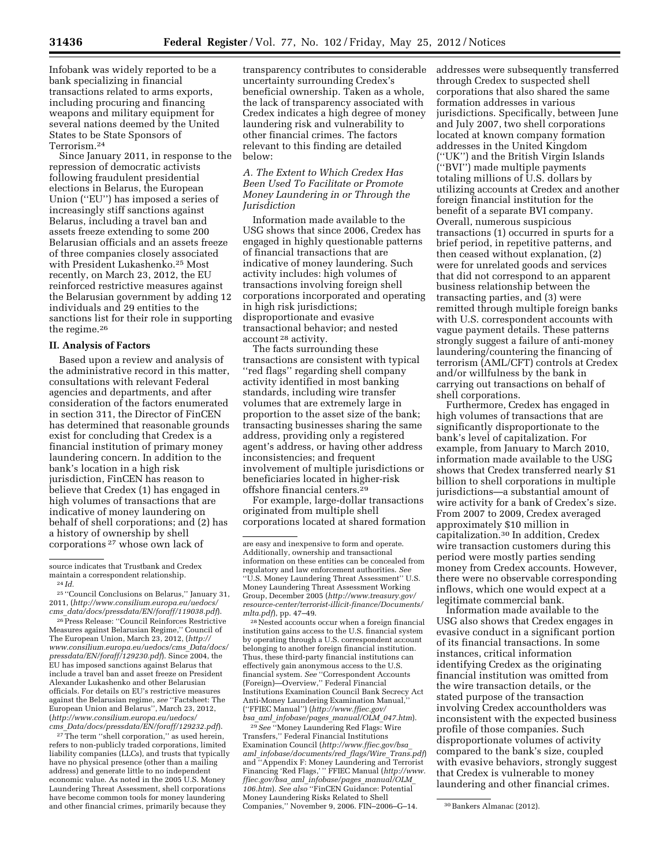Infobank was widely reported to be a bank specializing in financial transactions related to arms exports, including procuring and financing weapons and military equipment for several nations deemed by the United States to be State Sponsors of Terrorism.24

Since January 2011, in response to the repression of democratic activists following fraudulent presidential elections in Belarus, the European Union (''EU'') has imposed a series of increasingly stiff sanctions against Belarus, including a travel ban and assets freeze extending to some 200 Belarusian officials and an assets freeze of three companies closely associated with President Lukashenko.25 Most recently, on March 23, 2012, the EU reinforced restrictive measures against the Belarusian government by adding 12 individuals and 29 entities to the sanctions list for their role in supporting the regime.26

#### **II. Analysis of Factors**

Based upon a review and analysis of the administrative record in this matter, consultations with relevant Federal agencies and departments, and after consideration of the factors enumerated in section 311, the Director of FinCEN has determined that reasonable grounds exist for concluding that Credex is a financial institution of primary money laundering concern. In addition to the bank's location in a high risk jurisdiction, FinCEN has reason to believe that Credex (1) has engaged in high volumes of transactions that are indicative of money laundering on behalf of shell corporations; and (2) has a history of ownership by shell corporations 27 whose own lack of

25 ''Council Conclusions on Belarus,'' January 31, 2011, (*[http://www.consilium.europa.eu/uedocs/](http://www.consilium.europa.eu/uedocs/cms_data/docs/pressdata/EN/foraff/119038.pdf) cms*\_*[data/docs/pressdata/EN/foraff/119038.pdf](http://www.consilium.europa.eu/uedocs/cms_data/docs/pressdata/EN/foraff/119038.pdf)*).

26Press Release: ''Council Reinforces Restrictive Measures against Belarusian Regime,'' Council of The European Union, March 23, 2012, (*[http://](http://www.consilium.europa.eu/uedocs/cms_Data/docs/pressdata/EN/foraff/129230.pdf)  [www.consilium.europa.eu/uedocs/cms](http://www.consilium.europa.eu/uedocs/cms_Data/docs/pressdata/EN/foraff/129230.pdf)*\_*Data/docs/ [pressdata/EN/foraff/129230.pdf](http://www.consilium.europa.eu/uedocs/cms_Data/docs/pressdata/EN/foraff/129230.pdf)*). Since 2004, the EU has imposed sanctions against Belarus that include a travel ban and asset freeze on President Alexander Lukashenko and other Belarusian officials. For details on EU's restrictive measures against the Belarusian regime, *see* ''Factsheet: The European Union and Belarus'', March 23, 2012, (*[http://www.consilium.europa.eu/uedocs/](http://www.consilium.europa.eu/uedocs/cms_Data/docs/pressdata/EN/foraff/129232.pdf)  cms*\_*[Data/docs/pressdata/EN/foraff/129232.pdf](http://www.consilium.europa.eu/uedocs/cms_Data/docs/pressdata/EN/foraff/129232.pdf)*).

27The term ''shell corporation,'' as used herein, refers to non-publicly traded corporations, limited liability companies (LLCs), and trusts that typically have no physical presence (other than a mailing address) and generate little to no independent economic value. As noted in the 2005 U.S. Money Laundering Threat Assessment, shell corporations have become common tools for money laundering and other financial crimes, primarily because they

transparency contributes to considerable uncertainty surrounding Credex's beneficial ownership. Taken as a whole, the lack of transparency associated with Credex indicates a high degree of money laundering risk and vulnerability to other financial crimes. The factors relevant to this finding are detailed below:

## *A. The Extent to Which Credex Has Been Used To Facilitate or Promote Money Laundering in or Through the Jurisdiction*

Information made available to the USG shows that since 2006, Credex has engaged in highly questionable patterns of financial transactions that are indicative of money laundering. Such activity includes: high volumes of transactions involving foreign shell corporations incorporated and operating in high risk jurisdictions; disproportionate and evasive transactional behavior; and nested account 28 activity.

The facts surrounding these transactions are consistent with typical ''red flags'' regarding shell company activity identified in most banking standards, including wire transfer volumes that are extremely large in proportion to the asset size of the bank; transacting businesses sharing the same address, providing only a registered agent's address, or having other address inconsistencies; and frequent involvement of multiple jurisdictions or beneficiaries located in higher-risk offshore financial centers.29

For example, large-dollar transactions originated from multiple shell corporations located at shared formation

28Nested accounts occur when a foreign financial institution gains access to the U.S. financial system by operating through a U.S. correspondent account belonging to another foreign financial institution. Thus, these third-party financial institutions can effectively gain anonymous access to the U.S. financial system. *See* ''Correspondent Accounts (Foreign)—Overview,'' Federal Financial Institutions Examination Council Bank Secrecy Act Anti-Money Laundering Examination Manual, (''FFIEC Manual'') (*[http://www.ffiec.gov/](http://www.ffiec.gov/bsa_aml_infobase/pages_manual/OLM_047.htm) bsa*\_*aml*\_*[infobase/pages](http://www.ffiec.gov/bsa_aml_infobase/pages_manual/OLM_047.htm)*\_*manual/OLM*\_*047.htm*).

29*See* ''Money Laundering Red Flags: Wire Transfers,'' Federal Financial Institutions Examination Council (*[http://www.ffiec.gov/bsa](http://www.ffiec.gov/bsa_aml_infobase/documents/red_flags/Wire_Trans.pdf)*\_ *aml*\_*[infobase/documents/red](http://www.ffiec.gov/bsa_aml_infobase/documents/red_flags/Wire_Trans.pdf)*\_*flags/Wire*\_*Trans.pdf*) and ''Appendix F: Money Laundering and Terrorist Financing 'Red Flags,' '' FFIEC Manual (*[http://www.](http://www.ffiec.gov/bsa_aml_infobase/pages_manual/OLM_106.htm) ffiec.gov/bsa*\_*aml*\_*[infobase/pages](http://www.ffiec.gov/bsa_aml_infobase/pages_manual/OLM_106.htm)*\_*manual/OLM*\_ *[106.htm](http://www.ffiec.gov/bsa_aml_infobase/pages_manual/OLM_106.htm)*). *See also* ''FinCEN Guidance: Potential Money Laundering Risks Related to Shell Companies," November 9, 2006. FIN-2006-G-14. <sup>30</sup> Bankers Almanac (2012).

addresses were subsequently transferred through Credex to suspected shell corporations that also shared the same formation addresses in various jurisdictions. Specifically, between June and July 2007, two shell corporations located at known company formation addresses in the United Kingdom (''UK'') and the British Virgin Islands (''BVI'') made multiple payments totaling millions of U.S. dollars by utilizing accounts at Credex and another foreign financial institution for the benefit of a separate BVI company. Overall, numerous suspicious transactions (1) occurred in spurts for a brief period, in repetitive patterns, and then ceased without explanation, (2) were for unrelated goods and services that did not correspond to an apparent business relationship between the transacting parties, and (3) were remitted through multiple foreign banks with U.S. correspondent accounts with vague payment details. These patterns strongly suggest a failure of anti-money laundering/countering the financing of terrorism (AML/CFT) controls at Credex and/or willfulness by the bank in carrying out transactions on behalf of shell corporations.

Furthermore, Credex has engaged in high volumes of transactions that are significantly disproportionate to the bank's level of capitalization. For example, from January to March 2010, information made available to the USG shows that Credex transferred nearly \$1 billion to shell corporations in multiple jurisdictions—a substantial amount of wire activity for a bank of Credex's size. From 2007 to 2009, Credex averaged approximately \$10 million in capitalization.30 In addition, Credex wire transaction customers during this period were mostly parties sending money from Credex accounts. However, there were no observable corresponding inflows, which one would expect at a legitimate commercial bank.

Information made available to the USG also shows that Credex engages in evasive conduct in a significant portion of its financial transactions. In some instances, critical information identifying Credex as the originating financial institution was omitted from the wire transaction details, or the stated purpose of the transaction involving Credex accountholders was inconsistent with the expected business profile of those companies. Such disproportionate volumes of activity compared to the bank's size, coupled with evasive behaviors, strongly suggest that Credex is vulnerable to money laundering and other financial crimes.

source indicates that Trustbank and Credex maintain a correspondent relationship. 24 *Id.* 

are easy and inexpensive to form and operate. Additionally, ownership and transactional information on these entities can be concealed from regulatory and law enforcement authorities. *See*  ''U.S. Money Laundering Threat Assessment'' U.S. Money Laundering Threat Assessment Working Group, December 2005 (*[http://www.treasury.gov/](http://www.treasury.gov/resource-center/terrorist-illicit-finance/Documents/mlta.pdf) [resource-center/terrorist-illicit-finance/Documents/](http://www.treasury.gov/resource-center/terrorist-illicit-finance/Documents/mlta.pdf)  [mlta.pdf](http://www.treasury.gov/resource-center/terrorist-illicit-finance/Documents/mlta.pdf)*), pp. 47–49.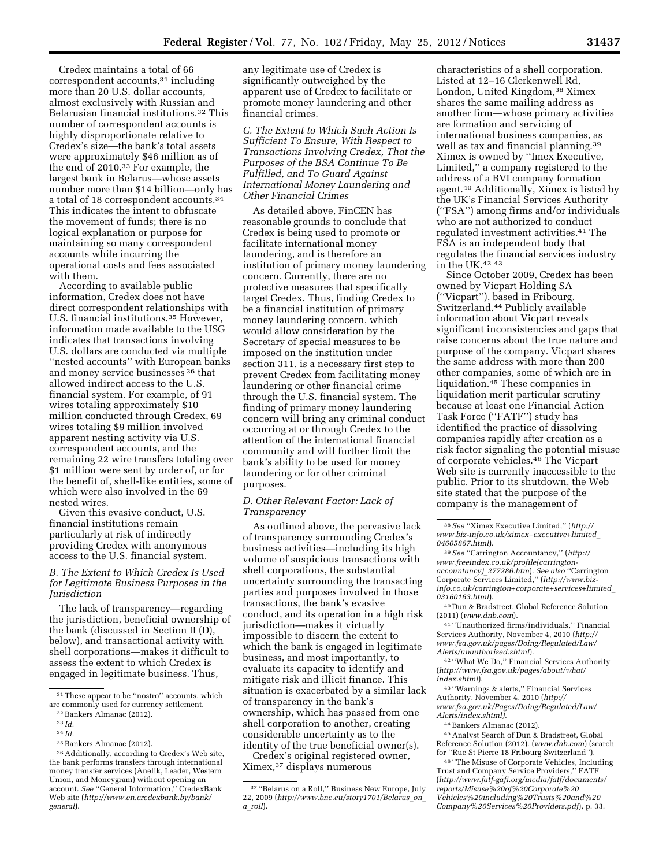Credex maintains a total of 66 correspondent accounts,31 including more than 20 U.S. dollar accounts, almost exclusively with Russian and Belarusian financial institutions.32 This number of correspondent accounts is highly disproportionate relative to Credex's size—the bank's total assets were approximately \$46 million as of the end of 2010.33 For example, the largest bank in Belarus—whose assets number more than \$14 billion—only has a total of 18 correspondent accounts.34 This indicates the intent to obfuscate the movement of funds; there is no logical explanation or purpose for maintaining so many correspondent accounts while incurring the operational costs and fees associated with them.

According to available public information, Credex does not have direct correspondent relationships with U.S. financial institutions.35 However, information made available to the USG indicates that transactions involving U.S. dollars are conducted via multiple ''nested accounts'' with European banks and money service businesses 36 that allowed indirect access to the U.S. financial system. For example, of 91 wires totaling approximately \$10 million conducted through Credex, 69 wires totaling \$9 million involved apparent nesting activity via U.S. correspondent accounts, and the remaining 22 wire transfers totaling over \$1 million were sent by order of, or for the benefit of, shell-like entities, some of which were also involved in the 69 nested wires.

Given this evasive conduct, U.S. financial institutions remain particularly at risk of indirectly providing Credex with anonymous access to the U.S. financial system.

*B. The Extent to Which Credex Is Used for Legitimate Business Purposes in the Jurisdiction* 

The lack of transparency—regarding the jurisdiction, beneficial ownership of the bank (discussed in Section II (D), below), and transactional activity with shell corporations—makes it difficult to assess the extent to which Credex is engaged in legitimate business. Thus,

any legitimate use of Credex is significantly outweighed by the apparent use of Credex to facilitate or promote money laundering and other financial crimes.

*C. The Extent to Which Such Action Is Sufficient To Ensure, With Respect to Transactions Involving Credex, That the Purposes of the BSA Continue To Be Fulfilled, and To Guard Against International Money Laundering and Other Financial Crimes* 

As detailed above, FinCEN has reasonable grounds to conclude that Credex is being used to promote or facilitate international money laundering, and is therefore an institution of primary money laundering concern. Currently, there are no protective measures that specifically target Credex. Thus, finding Credex to be a financial institution of primary money laundering concern, which would allow consideration by the Secretary of special measures to be imposed on the institution under section 311, is a necessary first step to prevent Credex from facilitating money laundering or other financial crime through the U.S. financial system. The finding of primary money laundering concern will bring any criminal conduct occurring at or through Credex to the attention of the international financial community and will further limit the bank's ability to be used for money laundering or for other criminal purposes.

## *D. Other Relevant Factor: Lack of Transparency*

As outlined above, the pervasive lack of transparency surrounding Credex's business activities—including its high volume of suspicious transactions with shell corporations, the substantial uncertainty surrounding the transacting parties and purposes involved in those transactions, the bank's evasive conduct, and its operation in a high risk jurisdiction—makes it virtually impossible to discern the extent to which the bank is engaged in legitimate business, and most importantly, to evaluate its capacity to identify and mitigate risk and illicit finance. This situation is exacerbated by a similar lack of transparency in the bank's ownership, which has passed from one shell corporation to another, creating considerable uncertainty as to the identity of the true beneficial owner(s).

Credex's original registered owner, Ximex,37 displays numerous

characteristics of a shell corporation. Listed at 12–16 Clerkenwell Rd, London, United Kingdom,38 Ximex shares the same mailing address as another firm—whose primary activities are formation and servicing of international business companies, as well as tax and financial planning.39 Ximex is owned by ''Imex Executive, Limited,'' a company registered to the address of a BVI company formation agent.40 Additionally, Ximex is listed by the UK's Financial Services Authority (''FSA'') among firms and/or individuals who are not authorized to conduct regulated investment activities.41 The FSA is an independent body that regulates the financial services industry in the UK.42 43

Since October 2009, Credex has been owned by Vicpart Holding SA (''Vicpart''), based in Fribourg, Switzerland.44 Publicly available information about Vicpart reveals significant inconsistencies and gaps that raise concerns about the true nature and purpose of the company. Vicpart shares the same address with more than 200 other companies, some of which are in liquidation.45 These companies in liquidation merit particular scrutiny because at least one Financial Action Task Force (''FATF'') study has identified the practice of dissolving companies rapidly after creation as a risk factor signaling the potential misuse of corporate vehicles.46 The Vicpart Web site is currently inaccessible to the public. Prior to its shutdown, the Web site stated that the purpose of the company is the management of

40 Dun & Bradstreet, Global Reference Solution (2011) (*[www.dnb.com](http://www.dnb.com)*).

41 ''Unauthorized firms/individuals,'' Financial Services Authority, November 4, 2010 (*[http://](http://www.fsa.gov.uk/pages/Doing/Regulated/Law/Alerts/unauthorised.shtml) [www.fsa.gov.uk/pages/Doing/Regulated/Law/](http://www.fsa.gov.uk/pages/Doing/Regulated/Law/Alerts/unauthorised.shtml) [Alerts/unauthorised.shtml](http://www.fsa.gov.uk/pages/Doing/Regulated/Law/Alerts/unauthorised.shtml)*).

42 ''What We Do,'' Financial Services Authority (*[http://www.fsa.gov.uk/pages/about/what/](http://www.fsa.gov.uk/pages/about/what/index.shtml) [index.shtml](http://www.fsa.gov.uk/pages/about/what/index.shtml)*).

43 ''Warnings & alerts,'' Financial Services Authority, November 4, 2010 (*[http://](http://www.fsa.gov.uk/Pages/Doing/Regulated/Law/Alerts/index.shtml)  [www.fsa.gov.uk/Pages/Doing/Regulated/Law/](http://www.fsa.gov.uk/Pages/Doing/Regulated/Law/Alerts/index.shtml) [Alerts/index.shtml\).](http://www.fsa.gov.uk/Pages/Doing/Regulated/Law/Alerts/index.shtml)* 

44Bankers Almanac (2012).

45Analyst Search of Dun & Bradstreet, Global Reference Solution (2012). (*[www.dnb.com](http://www.dnb.com)*) (search for ''Rue St Pierre 18 Fribourg Switzerland'').

46 ''The Misuse of Corporate Vehicles, Including Trust and Company Service Providers,'' FATF (*[http://www.fatf-gafi.org/media/fatf/documents/](http://www.fatf-gafi.org/media/fatf/documents/reports/Misuse%20of%20Corporate%20Vehicles%20including%20Trusts%20and%20Company%20Services%20Providers.pdf) [reports/Misuse%20of%20Corporate%20](http://www.fatf-gafi.org/media/fatf/documents/reports/Misuse%20of%20Corporate%20Vehicles%20including%20Trusts%20and%20Company%20Services%20Providers.pdf) [Vehicles%20including%20Trusts%20and%20](http://www.fatf-gafi.org/media/fatf/documents/reports/Misuse%20of%20Corporate%20Vehicles%20including%20Trusts%20and%20Company%20Services%20Providers.pdf) [Company%20Services%20Providers.pdf](http://www.fatf-gafi.org/media/fatf/documents/reports/Misuse%20of%20Corporate%20Vehicles%20including%20Trusts%20and%20Company%20Services%20Providers.pdf)*), p. 33.

<sup>31</sup>These appear to be ''nostro'' accounts, which are commonly used for currency settlement.

<sup>32</sup>Bankers Almanac (2012)*.* 

<sup>33</sup> *Id.* 

<sup>34</sup> *Id.* 

<sup>35</sup>Bankers Almanac (2012).

<sup>36</sup>Additionally, according to Credex's Web site, the bank performs transfers through international money transfer services (Anelik, Leader, Western Union, and Moneygram) without opening an account. *See* ''General Information,'' CredexBank Web site (*[http://www.en.credexbank.by/bank/](http://www.en.credexbank.by/bank/general) [general](http://www.en.credexbank.by/bank/general)*).

<sup>37</sup> ''Belarus on a Roll,'' Business New Europe, July 22, 2009 (*[http://www.bne.eu/story1701/Belarus](http://www.bne.eu/story1701/Belarus_on_a_roll)*\_*on*\_ *a*\_*[roll](http://www.bne.eu/story1701/Belarus_on_a_roll)*).

<sup>38</sup>*See* ''Ximex Executive Limited,'' (*[http://](http://www.biz-info.co.uk/ximex+executive+limited_04605867.html) [www.biz-info.co.uk/ximex+executive+limited](http://www.biz-info.co.uk/ximex+executive+limited_04605867.html)*\_ *[04605867.html](http://www.biz-info.co.uk/ximex+executive+limited_04605867.html)*).

<sup>39</sup>*See* ''Carrington Accountancy,'' (*[http://](http://www.freeindex.co.uk/profile(carrington-accountancy)_277286.html) [www.freeindex.co.uk/profile\(carrington](http://www.freeindex.co.uk/profile(carrington-accountancy)_277286.html)[accountancy\)](http://www.freeindex.co.uk/profile(carrington-accountancy)_277286.html)*\_*277286.htm*). *See also* ''Carrington Corporate Services Limited,'' (*[http://www.biz](http://www.biz-info.co.uk/carrington+corporate+services+limited_03160163.html)[info.co.uk/carrington+corporate+services+limited](http://www.biz-info.co.uk/carrington+corporate+services+limited_03160163.html)*\_ *[03160163.html](http://www.biz-info.co.uk/carrington+corporate+services+limited_03160163.html)*).